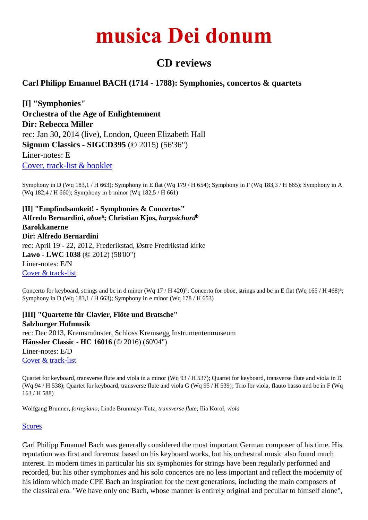## **musica Dei donum**

## **CD reviews**

## **Carl Philipp Emanuel BACH (1714 - 1788): Symphonies, concertos & quartets**

**[I] "Symphonies" Orchestra of the Age of Enlightenment Dir: Rebecca Miller** rec: Jan 30, 2014 (live), London, Queen Elizabeth Hall **Signum Classics - SIGCD395** (© 2015) (56'36") Liner-notes: E [Cover, track-list & booklet](http://i-classical.com/album.html?/cpe-bach-symphonies-/0635212039526)

Symphony in D (Wq 183,1 / H 663); Symphony in E flat (Wq 179 / H 654); Symphony in F (Wq 183,3 / H 665); Symphony in A (Wq 182,4 / H 660); Symphony in b minor (Wq 182,5 / H 661)

**[II] "Empfindsamkeit! - Symphonies & Concertos" Alfredo Bernardini,** *oboe***<sup>a</sup> ; Christian Kjos,** *harpsichord***<sup>b</sup> Barokkanerne Dir: Alfredo Bernardini** rec: April 19 - 22, 2012, Frederikstad, Østre Fredrikstad kirke **Lawo - LWC 1038** (© 2012) (58'00") Liner-notes: E/N [Cover & track-list](http://www.challengerecords.com/products/1358992503)

Concerto for keyboard, strings and bc in d minor (Wq 17 / H 420)<sup>b</sup>; Concerto for oboe, strings and bc in E flat (Wq 165 / H 468)<sup>a</sup>; Symphony in D (Wq 183,1 / H 663); Symphony in e minor (Wq 178 / H 653)

**[III] "Quartette für Clavier, Flöte und Bratsche" Salzburger Hofmusik** rec: Dec 2013, Kremsmünster, Schloss Kremsegg Instrumentenmuseum **Hänssler Classic - HC 16016** (© 2016) (60'04") Liner-notes: E/D [Cover & track-list](https://www.jpc.de/jpcng/classic/detail/-/art/quartette-fuer-klavier-floete-und-bratsche/hnum/3175505)

Quartet for keyboard, transverse flute and viola in a minor (Wq 93 / H 537); Quartet for keyboard, transverse flute and viola in D (Wq 94 / H 538); Quartet for keyboard, transverse flute and viola G (Wq 95 / H 539); Trio for viola, flauto basso and bc in F (Wq 163 / H 588)

Wolfgang Brunner, *fortepiano*; Linde Brunmayr-Tutz, *transverse flute*; Ilia Korol, *viola*

## [Scores](http://imslp.org/wiki/Category:Bach,_Carl_Philipp_Emanuel)

Carl Philipp Emanuel Bach was generally considered the most important German composer of his time. His reputation was first and foremost based on his keyboard works, but his orchestral music also found much interest. In modern times in particular his six symphonies for strings have been regularly performed and recorded, but his other symphonies and his solo concertos are no less important and reflect the modernity of his idiom which made CPE Bach an inspiration for the next generations, including the main composers of the classical era. "We have only one Bach, whose manner is entirely original and peculiar to himself alone",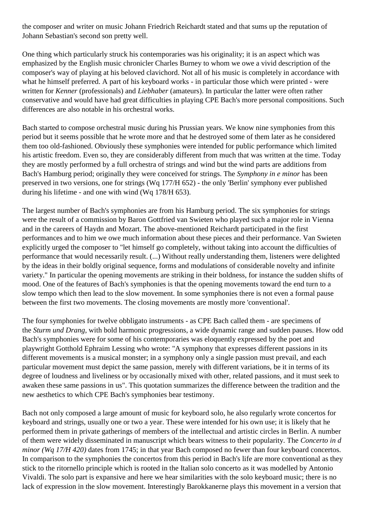the composer and writer on music Johann Friedrich Reichardt stated and that sums up the reputation of Johann Sebastian's second son pretty well.

One thing which particularly struck his contemporaries was his originality; it is an aspect which was emphasized by the English music chronicler Charles Burney to whom we owe a vivid description of the composer's way of playing at his beloved clavichord. Not all of his music is completely in accordance with what he himself preferred. A part of his keyboard works - in particular those which were printed - were written for *Kenner* (professionals) and *Liebhaber* (amateurs). In particular the latter were often rather conservative and would have had great difficulties in playing CPE Bach's more personal compositions. Such differences are also notable in his orchestral works.

Bach started to compose orchestral music during his Prussian years. We know nine symphonies from this period but it seems possible that he wrote more and that he destroyed some of them later as he considered them too old-fashioned. Obviously these symphonies were intended for public performance which limited his artistic freedom. Even so, they are considerably different from much that was written at the time. Today they are mostly performed by a full orchestra of strings and wind but the wind parts are additions from Bach's Hamburg period; originally they were conceived for strings. The *Symphony in e minor* has been preserved in two versions, one for strings (Wq 177/H 652) - the only 'Berlin' symphony ever published during his lifetime - and one with wind (Wq 178/H 653).

The largest number of Bach's symphonies are from his Hamburg period. The six symphonies for strings were the result of a commission by Baron Gottfried van Swieten who played such a major role in Vienna and in the careers of Haydn and Mozart. The above-mentioned Reichardt participated in the first performances and to him we owe much information about these pieces and their performance. Van Swieten explicitly urged the composer to "let himself go completely, without taking into account the difficulties of performance that would necessarily result. (...) Without really understanding them, listeners were delighted by the ideas in their boldly original sequence, forms and modulations of considerable novelty and infinite variety." In particular the opening movements are striking in their boldness, for instance the sudden shifts of mood. One of the features of Bach's symphonies is that the opening movements toward the end turn to a slow tempo which then lead to the slow movement. In some symphonies there is not even a formal pause between the first two movements. The closing movements are mostly more 'conventional'.

The four symphonies for twelve obbligato instruments - as CPE Bach called them - are specimens of the *Sturm und Drang*, with bold harmonic progressions, a wide dynamic range and sudden pauses. How odd Bach's symphonies were for some of his contemporaries was eloquently expressed by the poet and playwright Gotthold Ephraim Lessing who wrote: "A symphony that expresses different passions in its different movements is a musical monster; in a symphony only a single passion must prevail, and each particular movement must depict the same passion, merely with different variations, be it in terms of its degree of loudness and liveliness or by occasionally mixed with other, related passions, and it must seek to awaken these same passions in us". This quotation summarizes the difference between the tradition and the new aesthetics to which CPE Bach's symphonies bear testimony.

Bach not only composed a large amount of music for keyboard solo, he also regularly wrote concertos for keyboard and strings, usually one or two a year. These were intended for his own use; it is likely that he performed them in private gatherings of members of the intellectual and artistic circles in Berlin. A number of them were widely disseminated in manuscript which bears witness to their popularity. The *Concerto in d minor (Wq 17/H 420)* dates from 1745; in that year Bach composed no fewer than four keyboard concertos. In comparison to the symphonies the concertos from this period in Bach's life are more conventional as they stick to the ritornello principle which is rooted in the Italian solo concerto as it was modelled by Antonio Vivaldi. The solo part is expansive and here we hear similarities with the solo keyboard music; there is no lack of expression in the slow movement. Interestingly Barokkanerne plays this movement in a version that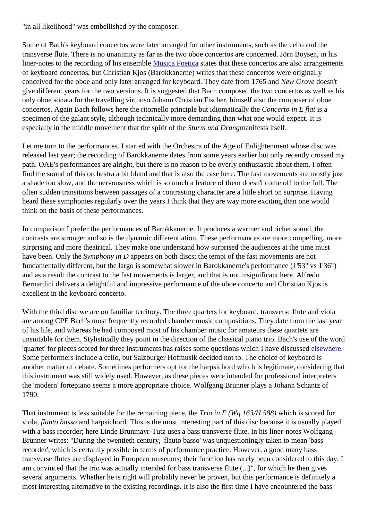"in all likelihood" was embellished by the composer.

Some of Bach's keyboard concertos were later arranged for other instruments, such as the cello and the transverse flute. There is no unanimity as far as the two oboe concertos are concerned. Jörn Boysen, in his liner-notes to the recording of his ensemble [Musica Poetica](http://www.musica-dei-donum.org/cd_reviews/CPhEBach_Boysen_Hsu.html) states that these concertos are also arrangements of keyboard concertos, but Christian Kjos (Barokkanerne) writes that these concertos were originally conceived for the oboe and only later arranged for keyboard. They date from 1765 and *New Grove* doesn't give different years for the two versions. It is suggested that Bach composed the two concertos as well as his only oboe sonata for the travelling virtuoso Johann Christian Fischer, himself also the composer of oboe concertos. Again Bach follows here the ritornello principle but idiomatically the *Concerto in E flat* is a specimen of the galant style, although technically more demanding than what one would expect. It is especially in the middle movement that the spirit of the *Sturm und Drang*manifests itself.

Let me turn to the performances. I started with the Orchestra of the Age of Enlightenment whose disc was released last year; the recording of Barokkanerne dates from some years earlier but only recently crossed my path. OAE's performances are alright, but there is no reason to be overly enthusiastic about them. I often find the sound of this orchestra a bit bland and that is also the case here. The fast movements are mostly just a shade too slow, and the nervousness which is so much a feature of them doesn't come off to the full. The often sudden transitions between passages of a contrasting character are a little short on surprise. Having heard these symphonies regularly over the years I think that they are way more exciting than one would think on the basis of these performances.

In comparison I prefer the performances of Barokkanerne. It produces a warmer and richer sound, the contrasts are stronger and so is the dynamic differentiation. These performances are more compelling, more surprising and more theatrical. They make one understand how surprised the audiences at the time must have been. Only the *Symphony in D* appears on both discs; the tempi of the fast movements are not fundamentally different, but the largo is somewhat slower in Barokkanerne's performance (1'53" vs 1'36") and as a result the contrast to the fast movements is larger, and that is not insignificant here. Alfredo Bernardini delivers a delightful and impressive performance of the oboe concerto and Christian Kjos is excellent in the keyboard concerto.

With the third disc we are on familiar territory. The three quartets for keyboard, transverse flute and viola are among CPE Bach's most frequently recorded chamber music compositions. They date from the last year of his life, and whereas he had composed most of his chamber music for amateurs these quartets are unsuitable for them. Stylistically they point in the direction of the classical piano trio. Bach's use of the word 'quartet' for pieces scored for three instruments has raises some questions which I have discussed [elsewhere.](http://www.musica-dei-donum.org/cd_reviews/CPEBach_Arsis4204_BC94884_dhm88843042752_Passacaille973.html) Some performers include a cello, but Salzburger Hofmusik decided not to. The choice of keyboard is another matter of debate. Sometimes performers opt for the harpsichord which is legitimate, considering that this instrument was still widely used. However, as these pieces were intended for professional interpreters the 'modern' fortepiano seems a more appropriate choice. Wolfgang Brunner plays a Johann Schantz of 1790.

That instrument is less suitable for the remaining piece, the *Trio in F (Wq 163/H 588)* which is scored for viola, *flauto basso* and harpsichord. This is the most interesting part of this disc because it is usually played with a bass recorder; here Linde Brunmayr-Tutz uses a bass transverse flute. In his liner-notes Wolfgang Brunner writes: "During the twentieth century, 'flauto basso' was unquestioningly taken to mean 'bass recorder', which is certainly possible in terms of performance practice. However, a good many bass transverse flutes are displayed in European museums; their function has rarely been considered to this day. I am convinced that the trio was actually intended for bass transverse flute (...)", for which he then gives several arguments. Whether he is right will probably never be proven, but this performance is definitely a most interesting alternative to the existing recordings. It is also the first time I have encountered the bass